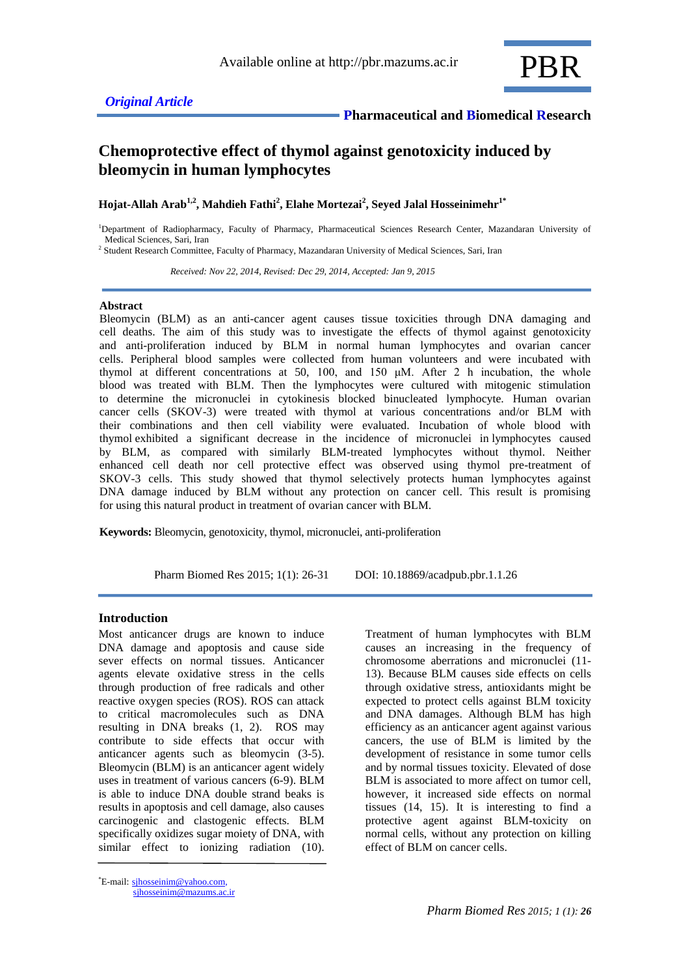

# **Chemoprotective effect of thymol against genotoxicity induced by bleomycin in human lymphocytes**

**Hojat-Allah Arab1,2 , Mahdieh Fathi<sup>2</sup> , Elahe Mortezai<sup>2</sup> , Seyed Jalal Hosseinimehr1\***

<sup>1</sup>Department of Radiopharmacy, Faculty of Pharmacy, Pharmaceutical Sciences Research Center, Mazandaran University of Medical Sciences, Sari, Iran

<sup>2</sup> Student Research Committee, Faculty of Pharmacy, Mazandaran University of Medical Sciences, Sari, Iran

 *Received: Nov 22, 2014, Revised: Dec 29, 2014, Accepted: Jan 9, 2015*

#### **Abstract**

Bleomycin (BLM) as an anti-cancer agent causes tissue toxicities through DNA damaging and cell deaths. The aim of this study was to investigate the effects of thymol against genotoxicity and anti-proliferation induced by BLM in normal human lymphocytes and ovarian cancer cells. Peripheral blood samples were collected from human volunteers and were incubated with thymol at different concentrations at 50, 100, and 150 μM. After 2 h incubation, the whole blood was treated with BLM. Then the lymphocytes were cultured with mitogenic stimulation to determine the micronuclei in cytokinesis blocked binucleated lymphocyte. Human ovarian cancer cells (SKOV-3) were treated with thymol at various concentrations and/or BLM with their combinations and then cell viability were evaluated. Incubation of whole blood with thymol exhibited a significant decrease in the incidence of micronuclei in lymphocytes caused by BLM, as compared with similarly BLM-treated lymphocytes without thymol. Neither enhanced cell death nor cell protective effect was observed using thymol pre-treatment of SKOV-3 cells. This study showed that thymol selectively protects human lymphocytes against DNA damage induced by BLM without any protection on cancer cell. This result is promising for using this natural product in treatment of ovarian cancer with BLM.

**Keywords:** Bleomycin, genotoxicity, thymol, micronuclei, anti-proliferation

Pharm Biomed Res 2015; 1(1): 26-31 DOI: 10.18869/acadpub.pbr.1.1.26

# **Introduction**

Most anticancer drugs are known to induce DNA damage and apoptosis and cause side sever effects on normal tissues. Anticancer agents elevate oxidative stress in the cells through production of free radicals and other reactive oxygen species (ROS). ROS can attack to critical macromolecules such as DNA resulting in DNA breaks (1, 2). ROS may contribute to side effects that occur with anticancer agents such as bleomycin (3-5). Bleomycin (BLM) is an anticancer agent widely uses in treatment of various cancers (6-9). BLM is able to induce DNA double strand beaks is results in apoptosis and cell damage, also causes carcinogenic and clastogenic effects. BLM specifically oxidizes sugar moiety of DNA, with similar effect to ionizing radiation (10).

\*E-mail: [sjhosseinim@yahoo.com,](mailto:sjhosseinim@yahoo.com) sjhosseinim@mazums.ac.ir

Treatment of human lymphocytes with BLM causes an increasing in the frequency of chromosome aberrations and micronuclei (11- 13). Because BLM causes side effects on cells through oxidative stress, antioxidants might be expected to protect cells against BLM toxicity and DNA damages. Although BLM has high efficiency as an anticancer agent against various cancers, the use of BLM is limited by the development of resistance in some tumor cells and by normal tissues toxicity. Elevated of dose BLM is associated to more affect on tumor cell, however, it increased side effects on normal tissues (14, 15). It is interesting to find a protective agent against BLM-toxicity on normal cells, without any protection on killing effect of BLM on cancer cells.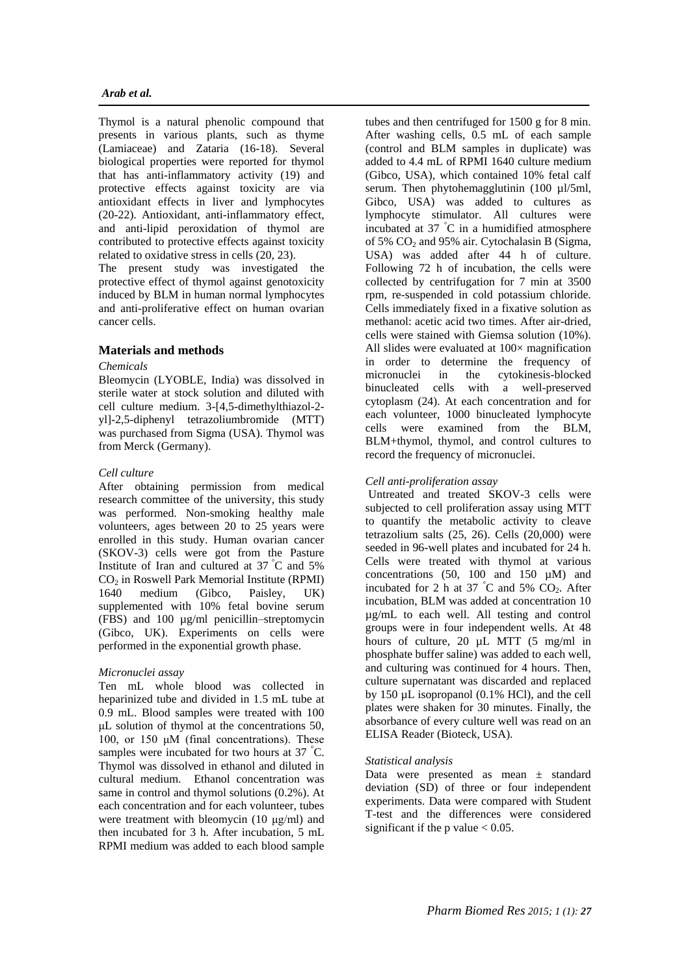Thymol is a natural phenolic compound that presents in various plants, such as thyme (Lamiaceae) and Zataria (16-18). Several biological properties were reported for thymol that has anti-inflammatory activity (19) and protective effects against toxicity are via antioxidant effects in liver and lymphocytes (20-22). Antioxidant, anti-inflammatory effect, and anti-lipid peroxidation of thymol are contributed to protective effects against toxicity related to oxidative stress in cells (20, 23).

The present study was investigated the protective effect of thymol against genotoxicity induced by BLM in human normal lymphocytes and anti-proliferative effect on human ovarian cancer cells.

# **Materials and methods**

# *Chemicals*

Bleomycin (LYOBLE, India) was dissolved in sterile water at stock solution and diluted with cell culture medium. 3-[4,5-dimethylthiazol-2 yl]-2,5-diphenyl tetrazoliumbromide (MTT) was purchased from Sigma (USA). Thymol was from Merck (Germany).

# *Cell culture*

After obtaining permission from medical research committee of the university, this study was performed. Non-smoking healthy male volunteers, ages between 20 to 25 years were enrolled in this study. Human ovarian cancer (SKOV-3) cells were got from the Pasture Institute of Iran and cultured at 37 °C and 5%  $CO<sub>2</sub>$  in Roswell Park Memorial Institute (RPMI)<br>1640 medium (Gibco, Paisley, UK) medium (Gibco, Paisley, UK) supplemented with 10% fetal bovine serum (FBS) and 100 µg/ml penicillin–streptomycin (Gibco, UK). Experiments on cells were performed in the exponential growth phase.

# *Micronuclei assay*

Ten mL whole blood was collected in heparinized tube and divided in 1.5 mL tube at 0.9 mL. Blood samples were treated with 100 μL solution of thymol at the concentrations 50, 100, or 150 μM (final concentrations). These samples were incubated for two hours at 37 °C. Thymol was dissolved in ethanol and diluted in cultural medium. Ethanol concentration was same in control and thymol solutions (0.2%). At each concentration and for each volunteer, tubes were treatment with bleomycin (10 μg/ml) and then incubated for 3 h. After incubation, 5 mL RPMI medium was added to each blood sample

tubes and then centrifuged for 1500 g for 8 min. After washing cells, 0.5 mL of each sample (control and BLM samples in duplicate) was added to 4.4 mL of RPMI 1640 culture medium (Gibco, USA), which contained 10% fetal calf serum. Then phytohemagglutinin (100 ul/5ml, Gibco, USA) was added to cultures as lymphocyte stimulator. All cultures were incubated at 37 °C in a humidified atmosphere of 5%  $CO<sub>2</sub>$  and 95% air. Cytochalasin B (Sigma, USA) was added after 44 h of culture. Following 72 h of incubation, the cells were collected by centrifugation for 7 min at 3500 rpm, re-suspended in cold potassium chloride. Cells immediately fixed in a fixative solution as methanol: acetic acid two times. After air-dried, cells were stained with Giemsa solution (10%). All slides were evaluated at  $100\times$  magnification in order to determine the frequency of micronuclei in the cytokinesis-blocked binucleated cells with a well-preserved cytoplasm (24). At each concentration and for each volunteer, 1000 binucleated lymphocyte cells were examined from the BLM, BLM+thymol, thymol, and control cultures to record the frequency of micronuclei.

# *Cell anti-proliferation assay*

Untreated and treated SKOV-3 cells were subjected to cell proliferation assay using MTT to quantify the metabolic activity to cleave tetrazolium salts (25, 26). Cells (20,000) were seeded in 96-well plates and incubated for 24 h. Cells were treated with thymol at various concentrations (50, 100 and 150 µM) and incubated for 2 h at 37  $\degree$ C and 5% CO<sub>2</sub>. After incubation, BLM was added at concentration 10 µg/mL to each well. All testing and control groups were in four independent wells. At 48 hours of culture, 20  $\mu L$  MTT (5 mg/ml in phosphate buffer saline) was added to each well, and culturing was continued for 4 hours. Then, culture supernatant was discarded and replaced by 150 µL isopropanol (0.1% HCl), and the cell plates were shaken for 30 minutes. Finally, the absorbance of every culture well was read on an ELISA Reader (Bioteck, USA).

# *Statistical analysis*

Data were presented as mean ± standard deviation (SD) of three or four independent experiments. Data were compared with Student T-test and the differences were considered significant if the p value  $< 0.05$ .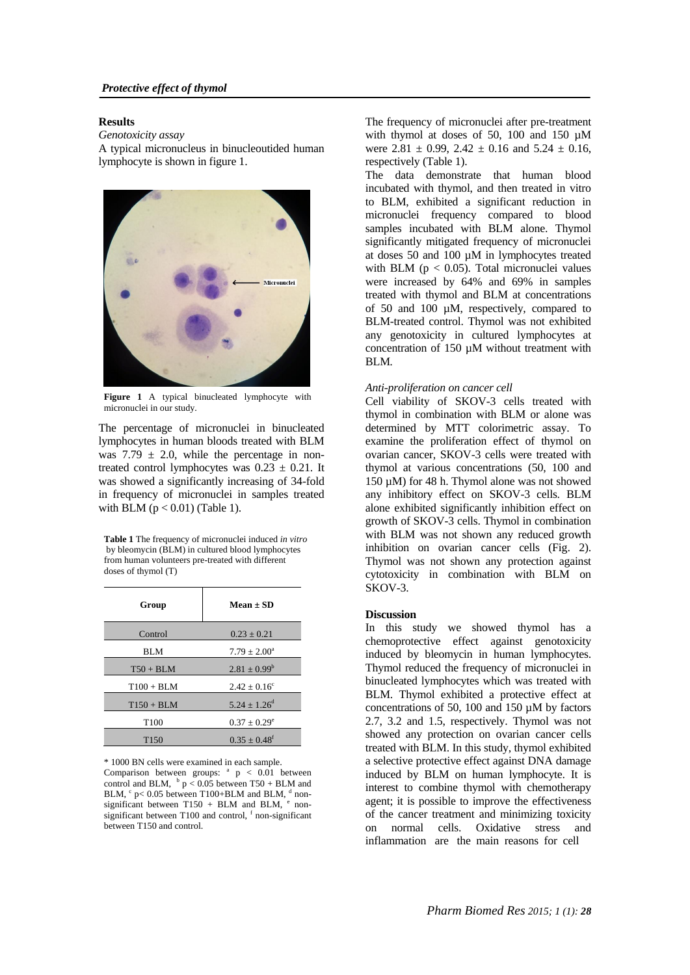#### **Results**

*Genotoxicity assay* A typical micronucleus in binucleoutided human lymphocyte is shown in figure 1.



**Figure 1** A typical binucleated lymphocyte with micronuclei in our study.

The percentage of micronuclei in binucleated lymphocytes in human bloods treated with BLM was  $7.79 \pm 2.0$ , while the percentage in nontreated control lymphocytes was  $0.23 \pm 0.21$ . It was showed a significantly increasing of 34-fold in frequency of micronuclei in samples treated with BLM  $(p < 0.01)$  (Table 1).

**Table 1** The frequency of micronuclei induced *in vitro* by bleomycin (BLM) in cultured blood lymphocytes from human volunteers pre-treated with different doses of thymol (T)

| Group            | $Mean \pm SD$                |
|------------------|------------------------------|
| Control          | $0.23 \pm 0.21$              |
| <b>BLM</b>       | $7.79 \pm 2.00^a$            |
| $T50 + BLM$      | $2.81 \pm 0.99^b$            |
| $T100 + BLM$     | $2.42 \pm 0.16^c$            |
| $T150 + BLM$     | $5.24 \pm 1.26^{\rm d}$      |
| T <sub>100</sub> | $0.37 \pm 0.29^e$            |
| T <sub>150</sub> | $0.35 \pm 0.48$ <sup>f</sup> |

\* 1000 BN cells were examined in each sample.

Comparison between groups:  $a$   $p$  < 0.01 between control and BLM,  $\frac{b}{p}$  < 0.05 between T50 + BLM and BLM,  $\degree$  p< 0.05 between T100+BLM and BLM,  $\degree$  nonsignificant between T150 + BLM and BLM,  $e$  nonsignificant between  $T100$  and control,  $f$  non-significant between T150 and control.

The frequency of micronuclei after pre-treatment with thymol at doses of 50, 100 and 150  $\mu$ M were  $2.81 \pm 0.99$ ,  $2.42 \pm 0.16$  and  $5.24 \pm 0.16$ . respectively (Table 1).

The data demonstrate that human blood incubated with thymol, and then treated in vitro to BLM, exhibited a significant reduction in micronuclei frequency compared to blood samples incubated with BLM alone. Thymol significantly mitigated frequency of micronuclei at doses 50 and 100 µM in lymphocytes treated with BLM ( $p < 0.05$ ). Total micronuclei values were increased by 64% and 69% in samples treated with thymol and BLM at concentrations of 50 and 100 µM, respectively, compared to BLM-treated control. Thymol was not exhibited any genotoxicity in cultured lymphocytes at concentration of 150 µM without treatment with BLM*.*

#### *Anti-proliferation on cancer cell*

Cell viability of SKOV-3 cells treated with thymol in combination with BLM or alone was determined by MTT colorimetric assay. To examine the proliferation effect of thymol on ovarian cancer, SKOV-3 cells were treated with thymol at various concentrations (50, 100 and 150 µM) for 48 h. Thymol alone was not showed any inhibitory effect on SKOV-3 cells. BLM alone exhibited significantly inhibition effect on growth of SKOV-3 cells. Thymol in combination with BLM was not shown any reduced growth inhibition on ovarian cancer cells (Fig. 2). Thymol was not shown any protection against cytotoxicity in combination with BLM on SKOV-3.

#### **Discussion**

In this study we showed thymol has a chemoprotective effect against genotoxicity induced by bleomycin in human lymphocytes. Thymol reduced the frequency of micronuclei in binucleated lymphocytes which was treated with BLM. Thymol exhibited a protective effect at concentrations of 50, 100 and 150 µM by factors 2.7, 3.2 and 1.5, respectively. Thymol was not showed any protection on ovarian cancer cells treated with BLM. In this study, thymol exhibited a selective protective effect against DNA damage induced by BLM on human lymphocyte. It is interest to combine thymol with chemotherapy agent; it is possible to improve the effectiveness of the cancer treatment and minimizing toxicity on normal cells. Oxidative stress and inflammation are the main reasons for cell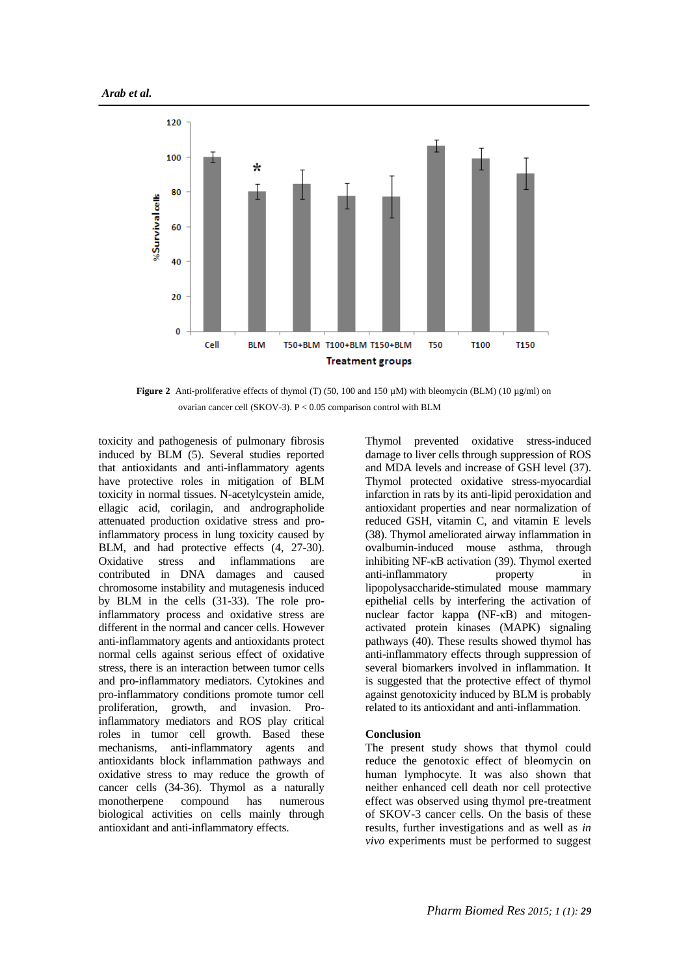

**Figure 2** Anti-proliferative effects of thymol (T) (50, 100 and 150  $\mu$ M) with bleomycin (BLM) (10  $\mu$ g/ml) on ovarian cancer cell (SKOV-3). P < 0.05 comparison control with BLM

toxicity and pathogenesis of pulmonary fibrosis induced by BLM (5). Several studies reported that antioxidants and anti-inflammatory agents have protective roles in mitigation of BLM toxicity in normal tissues. N-acetylcystein amide, ellagic acid, corilagin, and andrographolide attenuated production oxidative stress and proinflammatory process in lung toxicity caused by BLM, and had protective effects  $(4, 27-30)$ . Oxidative stress and inflammations are contributed in DNA damages and caused chromosome instability and mutagenesis induced by BLM in the cells (31-33). The role proinflammatory process and oxidative stress are different in the normal and cancer cells. However anti-inflammatory agents and antioxidants protect normal cells against serious effect of oxidative stress, there is an interaction between tumor cells and pro-inflammatory mediators. Cytokines and pro-inflammatory conditions promote tumor cell proliferation, growth, and invasion. Proinflammatory mediators and ROS play critical roles in tumor cell growth. Based these mechanisms, anti-inflammatory agents and antioxidants block inflammation pathways and oxidative stress to may reduce the growth of cancer cells (34-36). Thymol as a naturally monotherpene compound has numerous biological activities on cells mainly through antioxidant and anti-inflammatory effects.

Thymol prevented oxidative stress-induced damage to liver cells through suppression of ROS and MDA levels and increase of GSH level (37). Thymol protected oxidative stress-myocardial infarction in rats by its anti-lipid peroxidation and antioxidant properties and near normalization of reduced GSH, vitamin C, and vitamin E levels (38). Thymol ameliorated airway inflammation in ovalbumin-induced mouse asthma, through inhibiting NF-κB activation (39). Thymol exerted anti-inflammatory property in lipopolysaccharide-stimulated mouse mammary epithelial cells by interfering the activation of nuclear factor kappa **(**NF-κB) and mitogenactivated protein kinases (MAPK) signaling pathways (40). These results showed thymol has anti-inflammatory effects through suppression of several biomarkers involved in inflammation. It is suggested that the protective effect of thymol against genotoxicity induced by BLM is probably related to its antioxidant and anti-inflammation.

#### **Conclusion**

The present study shows that thymol could reduce the genotoxic effect of bleomycin on human lymphocyte. It was also shown that neither enhanced cell death nor cell protective effect was observed using thymol pre-treatment of SKOV-3 cancer cells. On the basis of these results, further investigations and as well as *in vivo* experiments must be performed to suggest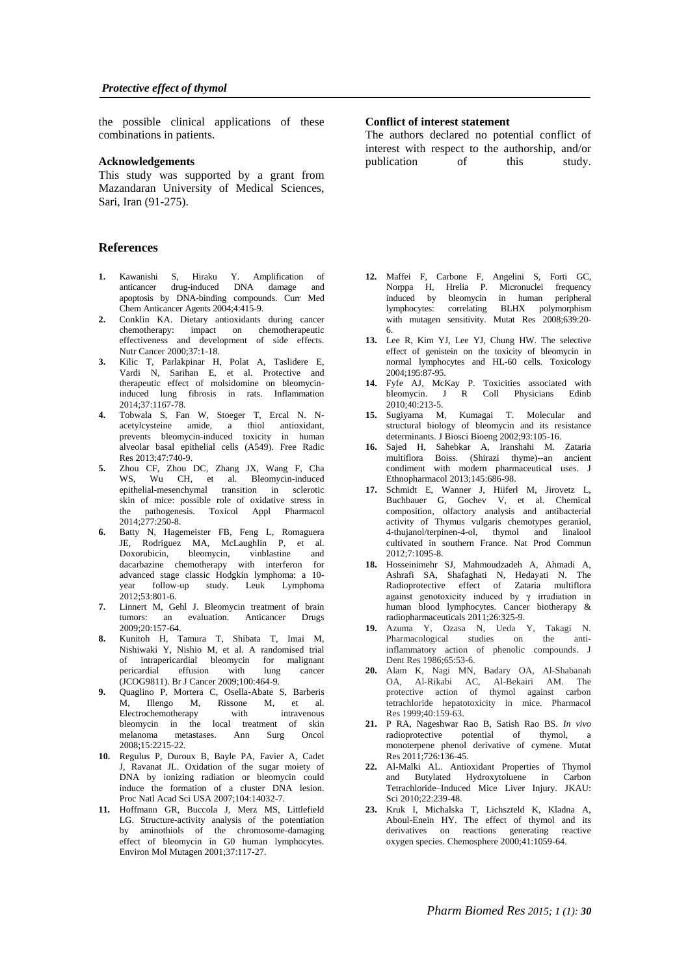the possible clinical applications of these combinations in patients.

#### **Acknowledgements**

This study was supported by a grant from Mazandaran University of Medical Sciences, Sari, Iran (91-275).

# **References**

- **1.** Kawanishi S, Hiraku Y. Amplification of anticancer drug-induced DNA damage and apoptosis by DNA-binding compounds. Curr Med Chem Anticancer Agents 2004;4:415-9.
- **2.** Conklin KA. Dietary antioxidants during cancer chemotherapy: impact on chemotherapeutic effectiveness and development of side effects. Nutr Cancer 2000;37:1-18.
- **3.** Kilic T, Parlakpinar H, Polat A, Taslidere E, Vardi N, Sarihan E, et al. Protective and therapeutic effect of molsidomine on bleomycininduced lung fibrosis in rats. Inflammation  $2014:37:1167-78$
- **4.** Tobwala S, Fan W, Stoeger T, Ercal N. Nacetylcysteine amide, a thiol antioxidant, prevents bleomycin-induced toxicity in human alveolar basal epithelial cells (A549). Free Radic Res 2013;47:740-9.
- **5.** Zhou CF, Zhou DC, Zhang JX, Wang F, Cha WS, Wu CH, et al. Bleomycin-induced epithelial-mesenchymal transition in sclerotic skin of mice: possible role of oxidative stress in the pathogenesis. Toxicol Appl Pharmacol 2014;277:250-8.
- **6.** Batty N, Hagemeister FB, Feng L, Romaguera JE, Rodriguez MA, McLaughlin P, et al. Doxorubicin, bleomycin, vinblastine and dacarbazine chemotherapy with interferon for advanced stage classic Hodgkin lymphoma: a 10 year follow-up study. Leuk Lymphoma  $2012.53:801.6$
- **7.** Linnert M, Gehl J. Bleomycin treatment of brain tumors: an evaluation. Anticancer Drugs 2009;20:157-64.
- **8.** Kunitoh H, Tamura T, Shibata T, Imai M, Nishiwaki Y, Nishio M, et al. A randomised trial of intrapericardial bleomycin for malignant pericardial effusion with lung cancer (JCOG9811). Br J Cancer 2009;100:464-9.
- **9.** Quaglino P, Mortera C, Osella-Abate S, Barberis M, Illengo M, Rissone M, et al. Electrochemotherapy with intravenous bleomycin in the local treatment of skin melanoma metastases. Ann Surg Oncol 2008;15:2215-22.
- **10.** Regulus P, Duroux B, Bayle PA, Favier A, Cadet J, Ravanat JL. Oxidation of the sugar moiety of DNA by ionizing radiation or bleomycin could induce the formation of a cluster DNA lesion. Proc Natl Acad Sci USA 2007;104:14032-7.
- **11.** Hoffmann GR, Buccola J, Merz MS, Littlefield LG. Structure-activity analysis of the potentiation by aminothiols of the chromosome-damaging effect of bleomycin in G0 human lymphocytes. Environ Mol Mutagen 2001;37:117-27.

#### **Conflict of interest statement**

The authors declared no potential conflict of interest with respect to the authorship, and/or publication of this study.

- **12.** Maffei F, Carbone F, Angelini S, Forti GC, Norppa H, Hrelia P. Micronuclei frequency induced by bleomycin in human peripheral lymphocytes: correlating BLHX polymorphism with mutagen sensitivity. Mutat Res 2008;639:20- 6.
- **13.** Lee R, Kim YJ, Lee YJ, Chung HW. The selective effect of genistein on the toxicity of bleomycin in normal lymphocytes and HL-60 cells. Toxicology 2004;195:87-95.
- **14.** Fyfe AJ, McKay P. Toxicities associated with bleomycin. J R Coll Physicians Edinb 2010;40:213-5.
- **15.** Sugiyama M, Kumagai T. Molecular and structural biology of bleomycin and its resistance determinants. J Biosci Bioeng 2002;93:105-16.
- **16.** Sajed H, Sahebkar A, Iranshahi M. Zataria multiflora Boiss. (Shirazi thyme)--an ancient condiment with modern pharmaceutical uses. J Ethnopharmacol 2013;145:686-98.
- **17.** Schmidt E, Wanner J, Hiiferl M, Jirovetz L, Buchbauer G, Gochev V, et al. Chemical composition, olfactory analysis and antibacterial activity of Thymus vulgaris chemotypes geraniol, 4-thujanol/terpinen-4-ol, thymol and linalool cultivated in southern France. Nat Prod Commun 2012;7:1095-8.
- **18.** Hosseinimehr SJ, Mahmoudzadeh A, Ahmadi A, Ashrafi SA, Shafaghati N, Hedayati N. The Radioprotective effect of Zataria multiflora against genotoxicity induced by  $γ$  irradiation in human blood lymphocytes. Cancer biotherapy & radiopharmaceuticals 2011;26:325-9.
- **19.** Azuma Y, Ozasa N, Ueda Y, Takagi N. Pharmacological studies on the antiinflammatory action of phenolic compounds. J Dent Res 1986;65:53-6.
- **20.** Alam K, Nagi MN, Badary OA, Al-Shabanah OA, Al-Rikabi AC, Al-Bekairi AM. The protective action of thymol against carbon tetrachloride hepatotoxicity in mice. Pharmacol  $Res 1999:40:159-63$ .
- **21.** P RA, Nageshwar Rao B, Satish Rao BS. *In vivo* radioprotective potential of thymol, a monoterpene phenol derivative of cymene. Mutat Res 2011;726:136-45.
- **22.** Al-Malki AL. Antioxidant Properties of Thymol and Butylated Hydroxytoluene in Carbon Tetrachloride–Induced Mice Liver Injury. JKAU: Sci 2010;22:239-48.
- **23.** Kruk I, Michalska T, Lichszteld K, Kladna A, Aboul-Enein HY. The effect of thymol and its derivatives on reactions generating reactive oxygen species. Chemosphere 2000;41:1059-64.